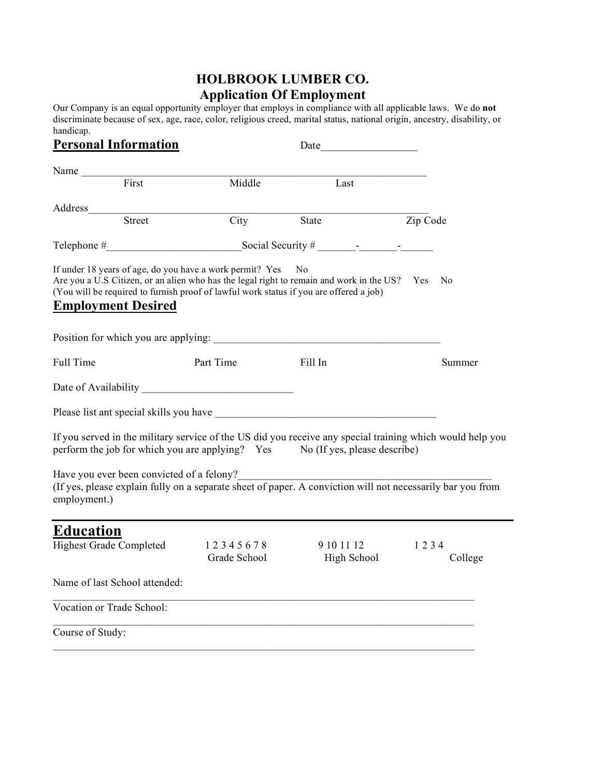## **HOLBROOK LUMBER CO. Application Of Employment**

Our Company is an equal opportunity employer that employs in compliance with all applicable laws. We do **not** discriminate because of sex, age, race, color, religious creed, marital status, national origin, ancestry, disability, or handicap.

| <b>Personal Information</b>                               |        |                                                          | Date_<br>$\mathcal{L}(\mathcal{L}^{\mathcal{L}})$ and $\mathcal{L}^{\mathcal{L}}$ are the set of the set of $\mathcal{L}^{\mathcal{L}}$                                                      |                                                                                                                                                          |
|-----------------------------------------------------------|--------|----------------------------------------------------------|----------------------------------------------------------------------------------------------------------------------------------------------------------------------------------------------|----------------------------------------------------------------------------------------------------------------------------------------------------------|
| Name $\frac{1}{\sqrt{1-\frac{1}{2}}\cdot\frac{1}{2}}$     |        |                                                          |                                                                                                                                                                                              |                                                                                                                                                          |
|                                                           | First  | Middle                                                   | Last                                                                                                                                                                                         |                                                                                                                                                          |
| Address                                                   | Street |                                                          |                                                                                                                                                                                              |                                                                                                                                                          |
|                                                           |        | City                                                     | State                                                                                                                                                                                        | Zip Code                                                                                                                                                 |
|                                                           |        |                                                          | Telephone $\#$ Social Security $\#$ $\qquad \qquad -$                                                                                                                                        |                                                                                                                                                          |
| <b>Employment Desired</b>                                 |        | If under 18 years of age, do you have a work permit? Yes | No<br>Are you a U.S Citizen, or an alien who has the legal right to remain and work in the US? Yes<br>(You will be required to furnish proof of lawful work status if you are offered a job) | - No                                                                                                                                                     |
|                                                           |        |                                                          | Position for which you are applying:                                                                                                                                                         |                                                                                                                                                          |
| Full Time                                                 |        | Part Time                                                | Fill In                                                                                                                                                                                      | Summer                                                                                                                                                   |
|                                                           |        |                                                          |                                                                                                                                                                                              |                                                                                                                                                          |
|                                                           |        |                                                          |                                                                                                                                                                                              |                                                                                                                                                          |
|                                                           |        |                                                          | perform the job for which you are applying? Yes No (If yes, please describe)                                                                                                                 | If you served in the military service of the US did you receive any special training which would help you                                                |
| Have you ever been convicted of a felony?<br>employment.) |        |                                                          |                                                                                                                                                                                              | Trave you ever been convicted of a felony?<br>(If yes, please explain fully on a separate sheet of paper. A conviction will not necessarily bar you from |
| <b>Education</b>                                          |        |                                                          |                                                                                                                                                                                              |                                                                                                                                                          |
| <b>Highest Grade Completed</b>                            |        | 12345678<br>Grade School                                 | 9 10 11 12<br>High School                                                                                                                                                                    | 1234<br>College                                                                                                                                          |
| Name of last School attended:                             |        |                                                          |                                                                                                                                                                                              |                                                                                                                                                          |
| Vocation or Trade School:                                 |        |                                                          |                                                                                                                                                                                              |                                                                                                                                                          |
| Course of Study:                                          |        |                                                          |                                                                                                                                                                                              |                                                                                                                                                          |
|                                                           |        |                                                          |                                                                                                                                                                                              |                                                                                                                                                          |